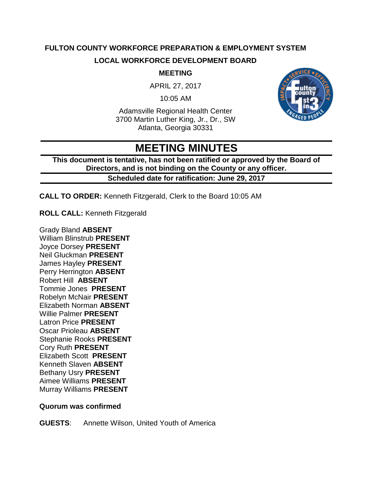# **FULTON COUNTY WORKFORCE PREPARATION & EMPLOYMENT SYSTEM LOCAL WORKFORCE DEVELOPMENT BOARD**

#### **MEETING**

APRIL 27, 2017

10:05 AM

Adamsville Regional Health Center 3700 Martin Luther King, Jr., Dr., SW Atlanta, Georgia 30331



# **MEETING MINUTES**

**This document is tentative, has not been ratified or approved by the Board of Directors, and is not binding on the County or any officer.**

#### **Scheduled date for ratification: June 29, 2017**

**CALL TO ORDER:** Kenneth Fitzgerald, Clerk to the Board 10:05 AM

**ROLL CALL:** Kenneth Fitzgerald

Grady Bland **ABSENT** William Blinstrub **PRESENT** Joyce Dorsey **PRESENT** Neil Gluckman **PRESENT** James Hayley **PRESENT** Perry Herrington **ABSENT** Robert Hill **ABSENT** Tommie Jones **PRESENT** Robelyn McNair **PRESENT** Elizabeth Norman **ABSENT** Willie Palmer **PRESENT** Latron Price **PRESENT** Oscar Prioleau **ABSENT** Stephanie Rooks **PRESENT** Cory Ruth **PRESENT** Elizabeth Scott **PRESENT** Kenneth Slaven **ABSENT** Bethany Usry **PRESENT** Aimee Williams **PRESENT** Murray Williams **PRESENT**

#### **Quorum was confirmed**

**GUESTS**: Annette Wilson, United Youth of America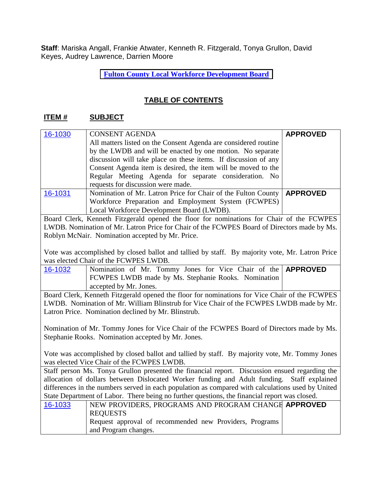**Staff**: Mariska Angall, Frankie Atwater, Kenneth R. Fitzgerald, Tonya Grullon, David Keyes, Audrey Lawrence, Darrien Moore

**[Fulton](http://agendaminutes.fultoncountyga.gov/sirepub/agdocs.aspx?doctype=minutes&itemid=30105) County Local Workforce Development Board**

## **TABLE OF CONTENTS**

#### **ITEM # SUBJECT**

| 16-1030                                                                                    | <b>CONSENT AGENDA</b>                                                    | <b>APPROVED</b> |
|--------------------------------------------------------------------------------------------|--------------------------------------------------------------------------|-----------------|
|                                                                                            | All matters listed on the Consent Agenda are considered routine          |                 |
|                                                                                            | by the LWDB and will be enacted by one motion. No separate               |                 |
|                                                                                            | discussion will take place on these items. If discussion of any          |                 |
|                                                                                            | Consent Agenda item is desired, the item will be moved to the            |                 |
|                                                                                            | Regular Meeting Agenda for separate consideration. No                    |                 |
|                                                                                            | requests for discussion were made.                                       |                 |
| 16-1031                                                                                    | Nomination of Mr. Latron Price for Chair of the Fulton County   APPROVED |                 |
|                                                                                            | Workforce Preparation and Employment System (FCWPES)                     |                 |
|                                                                                            | Local Workforce Development Board (LWDB).                                |                 |
| Board Clerk, Kenneth Fitzgerald opened the floor for nominations for Chair of the FCWPES   |                                                                          |                 |
| I WDP Nomination of Mr. Latron Price for Chair of the ECWDES Poerd of Directors made by Me |                                                                          |                 |

LWDB. Nomination of Mr. Latron Price for Chair of the FCWPES Board of Directors made by Ms. Roblyn McNair. Nomination accepted by Mr. Price.

Vote was accomplished by closed ballot and tallied by staff. By majority vote, Mr. Latron Price was elected Chair of the FCWPES LWDB.

| 16-1032 | Nomination of Mr. Tommy Jones for Vice Chair of the <b>APPROVED</b> |  |
|---------|---------------------------------------------------------------------|--|
|         | <b>FCWPES LWDB</b> made by Ms. Stephanie Rooks. Nomination          |  |
|         | accepted by Mr. Jones.                                              |  |

Board Clerk, Kenneth Fitzgerald opened the floor for nominations for Vice Chair of the FCWPES LWDB. Nomination of Mr. William Blinstrub for Vice Chair of the FCWPES LWDB made by Mr. Latron Price. Nomination declined by Mr. Blinstrub.

Nomination of Mr. Tommy Jones for Vice Chair of the FCWPES Board of Directors made by Ms. Stephanie Rooks. Nomination accepted by Mr. Jones.

Vote was accomplished by closed ballot and tallied by staff. By majority vote, Mr. Tommy Jones was elected Vice Chair of the FCWPES LWDB.

Staff person Ms. Tonya Grullon presented the financial report. Discussion ensued regarding the allocation of dollars between Dislocated Worker funding and Adult funding. Staff explained differences in the numbers served in each population as compared with calculations used by United State Department of Labor. There being no further questions, the financial report was closed.

| 16-1033 | NEW PROVIDERS, PROGRAMS AND PROGRAM CHANGE APPROVED     |  |
|---------|---------------------------------------------------------|--|
|         | <b>REQUESTS</b>                                         |  |
|         | Request approval of recommended new Providers, Programs |  |
|         | and Program changes.                                    |  |
|         |                                                         |  |